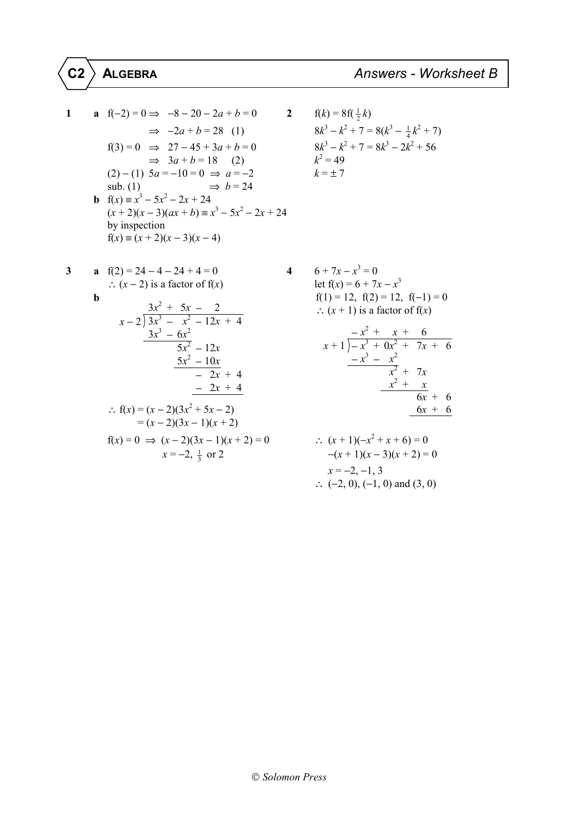1  
\n**a** 
$$
f(-2) = 0 \Rightarrow -8 - 20 - 2a + b = 0
$$
  
\n $\Rightarrow -2a + b = 28$  (1)  
\n $8k^3 - k^2 + 7 =$   
\n $f(3) = 0 \Rightarrow 27 - 45 + 3a + b = 0$   
\n $\Rightarrow 3a + b = 18$  (2)  
\n $(2) - (1) 5a = -10 = 0 \Rightarrow a = -2$   
\n $b = 24$   
\n**b**  $f(x) = x^3 - 5x^2 - 2x + 24$   
\nby inspection  
\n $f(x) = (x + 2)(x - 3)(x - 4)$   
\n**c**  $f(x) = (x + 2)(x - 3)(x - 4)$ 

$$
f(k) = 8f(\frac{1}{2}k)
$$
  
\n
$$
8k^3 - k^2 + 7 = 8(k^3 - \frac{1}{4}k^2 + 7)
$$
  
\n
$$
8k^3 - k^2 + 7 = 8k^3 - 2k^2 + 56
$$
  
\n
$$
k^2 = 49
$$
  
\n
$$
k = \pm 7
$$

$$
\mathfrak{s}
$$

3 a 
$$
f(2) = 24 - 4 - 24 + 4 = 0
$$
  
\n $\therefore (x - 2) \text{ is a factor of } f(x)$ 

b  
\n
$$
\begin{array}{ll}\n\therefore (x-2) \text{ is a factor of f}(x) & \text{let } f(x) = 6 + 7x - x^3 \\
& f(1) = 12, f(2) = 12, f(-1) = 0 \\
& \therefore (x+1) \text{ is a factor of f}(x) \\
& \frac{3x^3 - 6x^2}{5x^2 - 12x} & \frac{-x^2 + x + 6}{x + 1 - x^3 + 0x^2 + 7x + 6} \\
& \frac{5x^2 - 10x}{-2x + 4} & \frac{-x^3 - x^2}{x^2 + 7x} \\
& \frac{-2x + 4}{-2x + 4} & \frac{x^2 + x}{x^2 + 7x} \\
& \frac{-x^3 - x^2}{x^2 + 7x} & \frac{x^2 + x}{x^2 + 7x} \\
& \frac{-2x + 4}{x^2 + 7x} & \frac{x^2 + x}{x^2 + 7x} \\
& \frac{-2x + 4}{x^2 + 7x} & \frac{x^2 + x}{x^2 + 7x} \\
& \frac{-2x + 4}{x^2 + 7x} & \frac{-x^2 + x}{x^2 + 7x} \\
& \frac{-2x + 4}{x^2 + 7x} & \frac{-x^2 + x}{x^2 + 7x} \\
& \frac{-2x + 4}{x^2 + 7x} & \frac{-x^2 + x}{x^2 + 7x} \\
& \frac{-2x + 4}{x^2 + 7x} & \frac{-x^2 + x}{x^2 + 7x} \\
& \frac{-x^2 + x}{x^2 + 7x} & \frac{-x^2 + x}{x^2 + 7x} \\
& \frac{-x^2 + x}{x^2 + 7x} & \frac{-x^2 + x}{x^2 + 7x} \\
& \frac{-x^2 + x}{x^2 + 7x} & \frac{-x^2 + x}{x^2 + 7x} \\
& \frac{-x^2 + x}{x^2 + 7x} & \frac{-x^2 + x}{x^2 + 7x} \\
& \frac{-x^2 + x}{x^2 + 7x} & \frac{-x^2 + x}{x^2 + 7x} \\
& \frac{-x^2 + x}{x^2 + 7x} & \frac{-x^2 + x}{x^2 + 7x} \\
& \frac{-x^2 + x}{x^2 + 7x} & \frac{-x^2 + x}{x^2 + 7x} \\
& \frac{-x
$$

6 + 7x - x<sup>3</sup> = 0  
\nlet f(x) = 6 + 7x - x<sup>3</sup>  
\nf(1) = 12, f(2) = 12, f(-1) = 0  
\n
$$
\therefore
$$
 (x + 1) is a factor of f(x)  
\n
$$
x + 1\overline{\smash) - x^3 + 0x^2 + 7x + 6}
$$
\n
$$
-x^3 - x^2
$$
\n
$$
\underline{x^2 + x}
$$
\n
$$
\underline{x^2 + x}
$$
\n
$$
\underline{6x + 6}
$$
\n
$$
6x + 6
$$

$$
f(x) = 0 \implies (x - 2)(3x - 1)(x + 2) = 0
$$
  
\n
$$
x = -2, \frac{1}{3} \text{ or } 2
$$
  
\n∴  $(x + 1)(-x^2 + x + 6) = 0$   
\n
$$
-(x + 1)(x - 3)(x + 2) = 0
$$
  
\n
$$
x = -2, -1, 3
$$
  
\n∴  $(-2, 0), (-1, 0) \text{ and } (3, 0)$